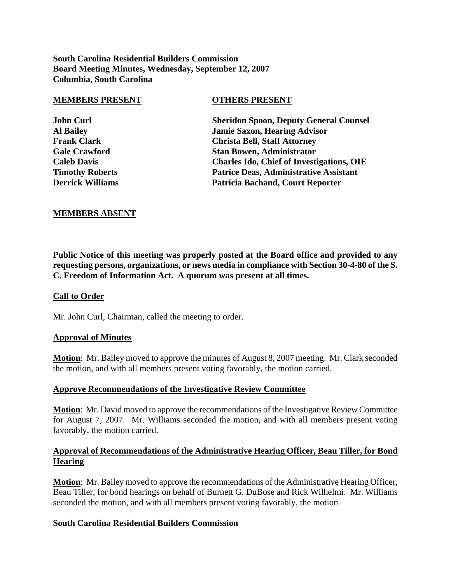**South Carolina Residential Builders Commission Board Meeting Minutes, Wednesday, September 12, 2007 Columbia, South Carolina** 

| <b>MEMBERS PRESENT</b>  | <b>OTHERS PRESENT</b>                            |
|-------------------------|--------------------------------------------------|
| <b>John Curl</b>        | <b>Sheridon Spoon, Deputy General Counsel</b>    |
| <b>Al Bailey</b>        | <b>Jamie Saxon, Hearing Advisor</b>              |
| <b>Frank Clark</b>      | <b>Christa Bell, Staff Attorney</b>              |
| <b>Gale Crawford</b>    | <b>Stan Bowen, Administrator</b>                 |
| <b>Caleb Davis</b>      | <b>Charles Ido, Chief of Investigations, OIE</b> |
| <b>Timothy Roberts</b>  | <b>Patrice Deas, Administrative Assistant</b>    |
| <b>Derrick Williams</b> | <b>Patricia Bachand, Court Reporter</b>          |

#### **MEMBERS ABSENT**

**Public Notice of this meeting was properly posted at the Board office and provided to any requesting persons, organizations, or news media in compliance with Section 30-4-80 of the S. C. Freedom of Information Act. A quorum was present at all times.** 

#### **Call to Order**

Mr. John Curl, Chairman, called the meeting to order.

#### **Approval of Minutes**

**Motion**: Mr. Bailey moved to approve the minutes of August 8, 2007 meeting. Mr. Clark seconded the motion, and with all members present voting favorably, the motion carried.

#### **Approve Recommendations of the Investigative Review Committee**

**Motion**: Mr. David moved to approve the recommendations of the Investigative Review Committee for August 7, 2007. Mr. Williams seconded the motion, and with all members present voting favorably, the motion carried.

### **Approval of Recommendations of the Administrative Hearing Officer, Beau Tiller, for Bond Hearing**

**Motion**: Mr. Bailey moved to approve the recommendations of the Administrative Hearing Officer, Beau Tiller, for bond hearings on behalf of Burnett G. DuBose and Rick Wilhelmi. Mr. Williams seconded the motion, and with all members present voting favorably, the motion

#### **South Carolina Residential Builders Commission**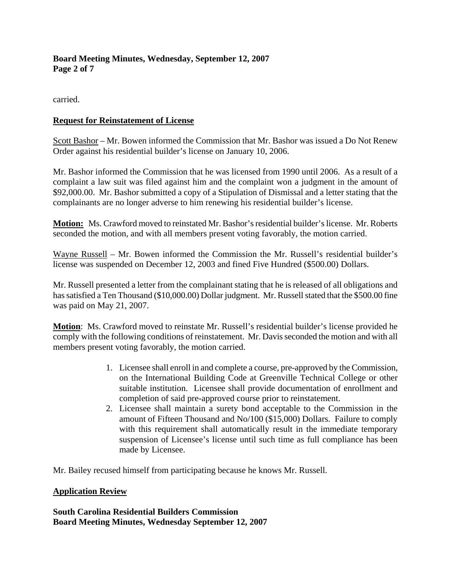## **Board Meeting Minutes, Wednesday, September 12, 2007 Page 2 of 7**

carried.

## **Request for Reinstatement of License**

Scott Bashor – Mr. Bowen informed the Commission that Mr. Bashor was issued a Do Not Renew Order against his residential builder's license on January 10, 2006.

Mr. Bashor informed the Commission that he was licensed from 1990 until 2006. As a result of a complaint a law suit was filed against him and the complaint won a judgment in the amount of \$92,000.00. Mr. Bashor submitted a copy of a Stipulation of Dismissal and a letter stating that the complainants are no longer adverse to him renewing his residential builder's license.

**Motion:** Ms. Crawford moved to reinstated Mr. Bashor's residential builder's license. Mr. Roberts seconded the motion, and with all members present voting favorably, the motion carried.

Wayne Russell – Mr. Bowen informed the Commission the Mr. Russell's residential builder's license was suspended on December 12, 2003 and fined Five Hundred (\$500.00) Dollars.

Mr. Russell presented a letter from the complainant stating that he is released of all obligations and has satisfied a Ten Thousand (\$10,000.00) Dollar judgment. Mr. Russell stated that the \$500.00 fine was paid on May 21, 2007.

**Motion**: Ms. Crawford moved to reinstate Mr. Russell's residential builder's license provided he comply with the following conditions of reinstatement. Mr. Davis seconded the motion and with all members present voting favorably, the motion carried.

- 1. Licensee shall enroll in and complete a course, pre-approved by the Commission, on the International Building Code at Greenville Technical College or other suitable institution. Licensee shall provide documentation of enrollment and completion of said pre-approved course prior to reinstatement.
- 2. Licensee shall maintain a surety bond acceptable to the Commission in the amount of Fifteen Thousand and No/100 (\$15,000) Dollars. Failure to comply with this requirement shall automatically result in the immediate temporary suspension of Licensee's license until such time as full compliance has been made by Licensee.

Mr. Bailey recused himself from participating because he knows Mr. Russell.

### **Application Review**

**South Carolina Residential Builders Commission Board Meeting Minutes, Wednesday September 12, 2007**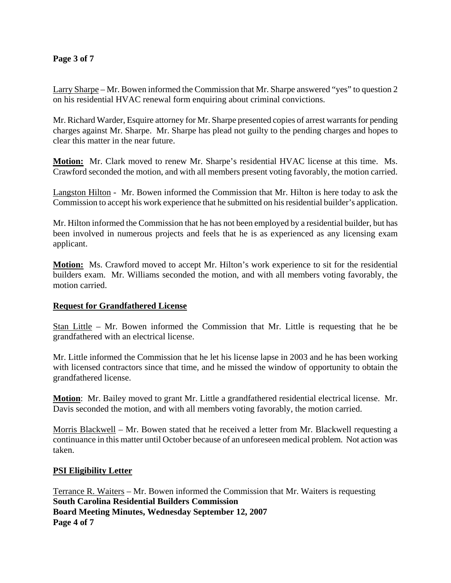## **Page 3 of 7**

Larry Sharpe – Mr. Bowen informed the Commission that Mr. Sharpe answered "yes" to question 2 on his residential HVAC renewal form enquiring about criminal convictions.

Mr. Richard Warder, Esquire attorney for Mr. Sharpe presented copies of arrest warrants for pending charges against Mr. Sharpe. Mr. Sharpe has plead not guilty to the pending charges and hopes to clear this matter in the near future.

**Motion:** Mr. Clark moved to renew Mr. Sharpe's residential HVAC license at this time. Ms. Crawford seconded the motion, and with all members present voting favorably, the motion carried.

Langston Hilton - Mr. Bowen informed the Commission that Mr. Hilton is here today to ask the Commission to accept his work experience that he submitted on his residential builder's application.

Mr. Hilton informed the Commission that he has not been employed by a residential builder, but has been involved in numerous projects and feels that he is as experienced as any licensing exam applicant.

**Motion:** Ms. Crawford moved to accept Mr. Hilton's work experience to sit for the residential builders exam. Mr. Williams seconded the motion, and with all members voting favorably, the motion carried.

### **Request for Grandfathered License**

Stan Little – Mr. Bowen informed the Commission that Mr. Little is requesting that he be grandfathered with an electrical license.

Mr. Little informed the Commission that he let his license lapse in 2003 and he has been working with licensed contractors since that time, and he missed the window of opportunity to obtain the grandfathered license.

**Motion**: Mr. Bailey moved to grant Mr. Little a grandfathered residential electrical license. Mr. Davis seconded the motion, and with all members voting favorably, the motion carried.

Morris Blackwell – Mr. Bowen stated that he received a letter from Mr. Blackwell requesting a continuance in this matter until October because of an unforeseen medical problem. Not action was taken.

### **PSI Eligibility Letter**

Terrance R. Waiters – Mr. Bowen informed the Commission that Mr. Waiters is requesting **South Carolina Residential Builders Commission Board Meeting Minutes, Wednesday September 12, 2007 Page 4 of 7**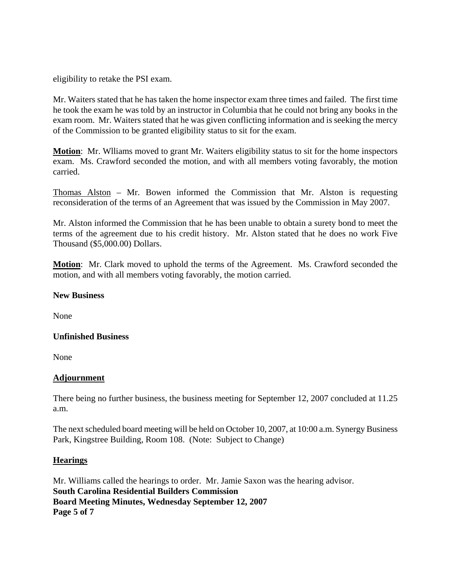eligibility to retake the PSI exam.

Mr. Waiters stated that he has taken the home inspector exam three times and failed. The first time he took the exam he was told by an instructor in Columbia that he could not bring any books in the exam room. Mr. Waiters stated that he was given conflicting information and is seeking the mercy of the Commission to be granted eligibility status to sit for the exam.

**Motion**: Mr. Wlliams moved to grant Mr. Waiters eligibility status to sit for the home inspectors exam. Ms. Crawford seconded the motion, and with all members voting favorably, the motion carried.

Thomas Alston – Mr. Bowen informed the Commission that Mr. Alston is requesting reconsideration of the terms of an Agreement that was issued by the Commission in May 2007.

Mr. Alston informed the Commission that he has been unable to obtain a surety bond to meet the terms of the agreement due to his credit history. Mr. Alston stated that he does no work Five Thousand (\$5,000.00) Dollars.

**Motion**: Mr. Clark moved to uphold the terms of the Agreement. Ms. Crawford seconded the motion, and with all members voting favorably, the motion carried.

### **New Business**

None

## **Unfinished Business**

None

## **Adjournment**

There being no further business, the business meeting for September 12, 2007 concluded at 11.25 a.m.

The next scheduled board meeting will be held on October 10, 2007, at 10:00 a.m. Synergy Business Park, Kingstree Building, Room 108. (Note: Subject to Change)

## **Hearings**

Mr. Williams called the hearings to order. Mr. Jamie Saxon was the hearing advisor. **South Carolina Residential Builders Commission Board Meeting Minutes, Wednesday September 12, 2007 Page 5 of 7**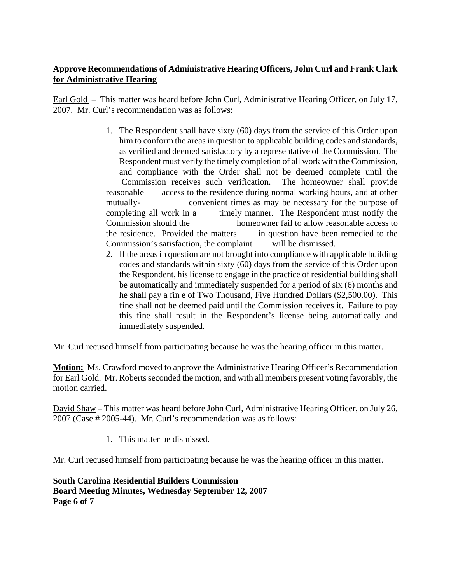# **Approve Recommendations of Administrative Hearing Officers, John Curl and Frank Clark for Administrative Hearing**

Earl Gold – This matter was heard before John Curl, Administrative Hearing Officer, on July 17, 2007. Mr. Curl's recommendation was as follows:

- 1. The Respondent shall have sixty (60) days from the service of this Order upon him to conform the areas in question to applicable building codes and standards, as verified and deemed satisfactory by a representative of the Commission. The Respondent must verify the timely completion of all work with the Commission, and compliance with the Order shall not be deemed complete until the Commission receives such verification. The homeowner shall provide reasonable access to the residence during normal working hours, and at other mutually- convenient times as may be necessary for the purpose of completing all work in a timely manner. The Respondent must notify the Commission should the homeowner fail to allow reasonable access to the residence. Provided the matters in question have been remedied to the Commission's satisfaction, the complaint will be dismissed.
- 2. If the areas in question are not brought into compliance with applicable building codes and standards within sixty (60) days from the service of this Order upon the Respondent, his license to engage in the practice of residential building shall be automatically and immediately suspended for a period of six (6) months and he shall pay a fin e of Two Thousand, Five Hundred Dollars (\$2,500.00). This fine shall not be deemed paid until the Commission receives it. Failure to pay this fine shall result in the Respondent's license being automatically and immediately suspended.

Mr. Curl recused himself from participating because he was the hearing officer in this matter.

**Motion:** Ms. Crawford moved to approve the Administrative Hearing Officer's Recommendation for Earl Gold. Mr. Roberts seconded the motion, and with all members present voting favorably, the motion carried.

David Shaw – This matter was heard before John Curl, Administrative Hearing Officer, on July 26, 2007 (Case # 2005-44). Mr. Curl's recommendation was as follows:

1. This matter be dismissed.

Mr. Curl recused himself from participating because he was the hearing officer in this matter.

**South Carolina Residential Builders Commission Board Meeting Minutes, Wednesday September 12, 2007 Page 6 of 7**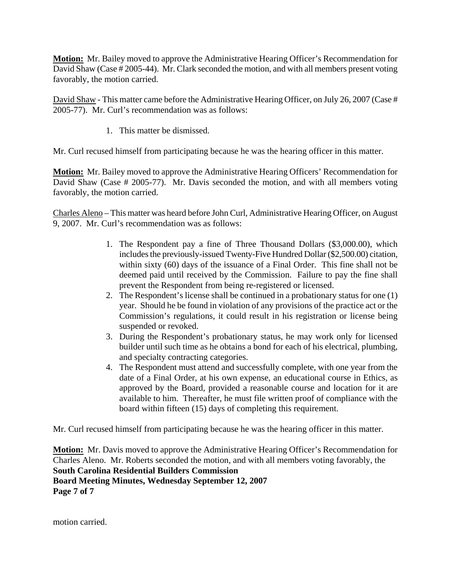**Motion:** Mr. Bailey moved to approve the Administrative Hearing Officer's Recommendation for David Shaw (Case # 2005-44). Mr. Clark seconded the motion, and with all members present voting favorably, the motion carried.

David Shaw - This matter came before the Administrative Hearing Officer, on July 26, 2007 (Case # 2005-77). Mr. Curl's recommendation was as follows:

1. This matter be dismissed.

Mr. Curl recused himself from participating because he was the hearing officer in this matter.

**Motion:** Mr. Bailey moved to approve the Administrative Hearing Officers' Recommendation for David Shaw (Case # 2005-77). Mr. Davis seconded the motion, and with all members voting favorably, the motion carried.

Charles Aleno – This matter was heard before John Curl, Administrative Hearing Officer, on August 9, 2007. Mr. Curl's recommendation was as follows:

- 1. The Respondent pay a fine of Three Thousand Dollars (\$3,000.00), which includes the previously-issued Twenty-Five Hundred Dollar (\$2,500.00) citation, within sixty (60) days of the issuance of a Final Order. This fine shall not be deemed paid until received by the Commission. Failure to pay the fine shall prevent the Respondent from being re-registered or licensed.
- 2. The Respondent's license shall be continued in a probationary status for one (1) year. Should he be found in violation of any provisions of the practice act or the Commission's regulations, it could result in his registration or license being suspended or revoked.
- 3. During the Respondent's probationary status, he may work only for licensed builder until such time as he obtains a bond for each of his electrical, plumbing, and specialty contracting categories.
- 4. The Respondent must attend and successfully complete, with one year from the date of a Final Order, at his own expense, an educational course in Ethics, as approved by the Board, provided a reasonable course and location for it are available to him. Thereafter, he must file written proof of compliance with the board within fifteen (15) days of completing this requirement.

Mr. Curl recused himself from participating because he was the hearing officer in this matter.

**Motion:** Mr. Davis moved to approve the Administrative Hearing Officer's Recommendation for Charles Aleno. Mr. Roberts seconded the motion, and with all members voting favorably, the **South Carolina Residential Builders Commission Board Meeting Minutes, Wednesday September 12, 2007 Page 7 of 7** 

motion carried.